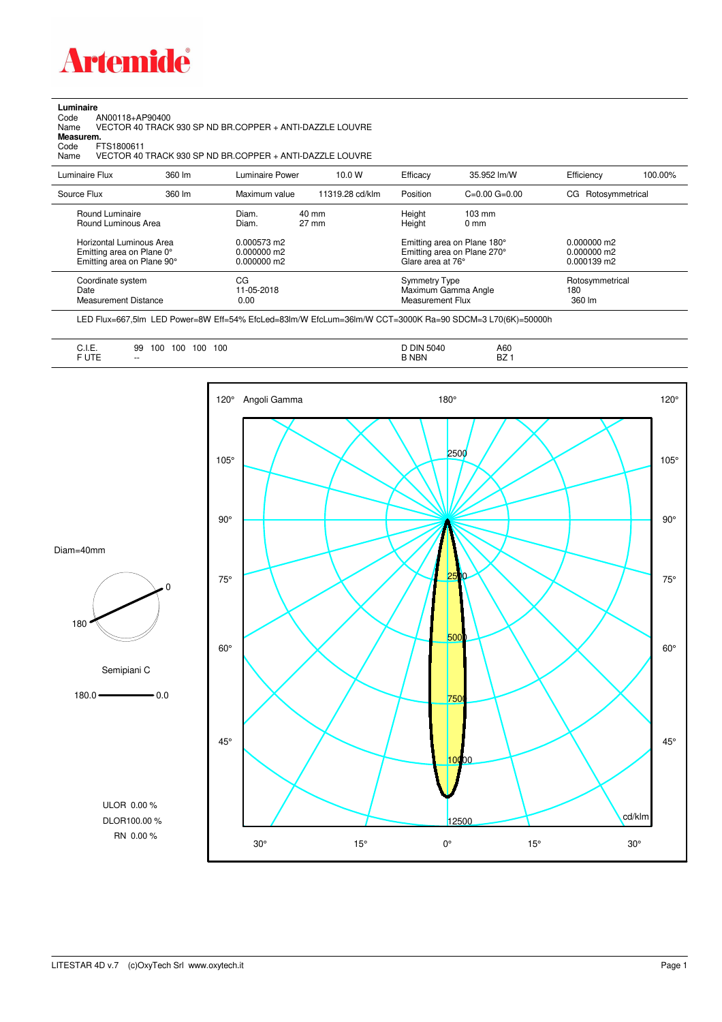

**Luminaire**<br>Code<br>Name Code AN00118+AP90400 Name VECTOR 40 TRACK 930 SP ND BR.COPPER + ANTI-DAZZLE LOUVRE

**Measurem.**

Code FTS1800611<br>Name VECTOR 40 Name VECTOR 40 TRACK 930 SP ND BR.COPPER + ANTI-DAZZLE LOUVRE

| Luminaire Flux                                                                                                                | 360 lm | Luminaire Power                                                   | 10.0 W                   | Efficacy                                 | 35.952 lm/W                                                                                                                               | Efficiency                       | 100.00% |
|-------------------------------------------------------------------------------------------------------------------------------|--------|-------------------------------------------------------------------|--------------------------|------------------------------------------|-------------------------------------------------------------------------------------------------------------------------------------------|----------------------------------|---------|
| Source Flux                                                                                                                   | 360 lm | Maximum value                                                     | 11319.28 cd/klm          | Position                                 | $C=0.00$ $G=0.00$                                                                                                                         | Rotosymmetrical<br>CG.           |         |
| Round Luminaire<br>Round Luminous Area<br>Horizontal Luminous Area<br>Emitting area on Plane 0°<br>Emitting area on Plane 90° |        | Diam.<br>Diam.<br>$0.000573$ m2<br>$0.000000$ m2<br>$0.000000$ m2 | 40 mm<br>$27 \text{ mm}$ |                                          | Height<br>$103 \text{ mm}$<br>Height<br>$0 \text{ mm}$<br>Emitting area on Plane 180°<br>Emitting area on Plane 270°<br>Glare area at 76° |                                  |         |
| Coordinate system<br>Date<br>Measurement Distance                                                                             |        | CG<br>11-05-2018<br>0.00                                          |                          | <b>Symmetry Type</b><br>Measurement Flux | Maximum Gamma Angle                                                                                                                       | Rotosymmetrical<br>180<br>360 lm |         |

LED Flux=667,5lm LED Power=8W Eff=54% EfcLed=83lm/W EfcLum=36lm/W CCT=3000K Ra=90 SDCM=3 L70(6K)=50000h